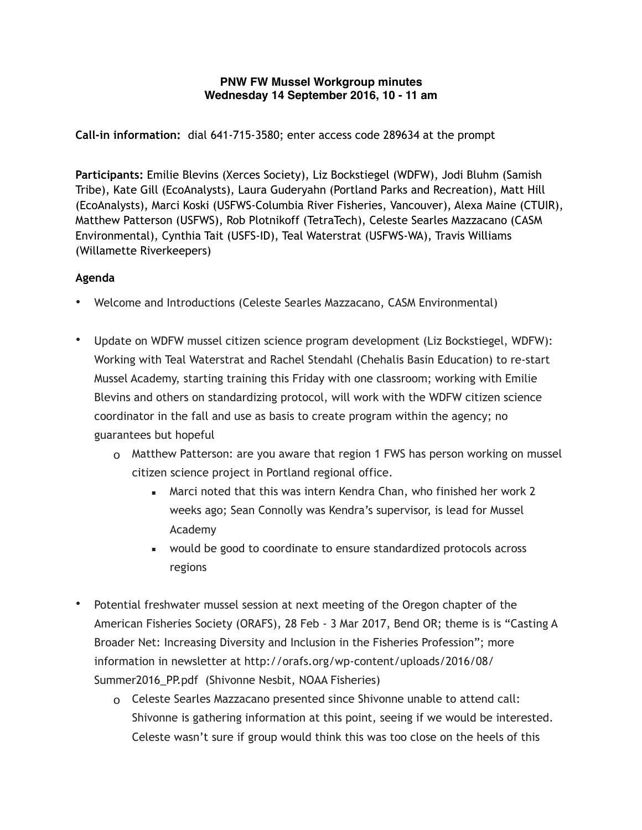## **PNW FW Mussel Workgroup minutes Wednesday 14 September 2016, 10 - 11 am**

**Call-in information:** dial 641-715-3580; enter access code 289634 at the prompt

**Participants:** Emilie Blevins (Xerces Society), Liz Bockstiegel (WDFW), Jodi Bluhm (Samish Tribe), Kate Gill (EcoAnalysts), Laura Guderyahn (Portland Parks and Recreation), Matt Hill (EcoAnalysts), Marci Koski (USFWS-Columbia River Fisheries, Vancouver), Alexa Maine (CTUIR), Matthew Patterson (USFWS), Rob Plotnikoff (TetraTech), Celeste Searles Mazzacano (CASM Environmental), Cynthia Tait (USFS-ID), Teal Waterstrat (USFWS-WA), Travis Williams (Willamette Riverkeepers)

## **Agenda**

- Welcome and Introductions (Celeste Searles Mazzacano, CASM Environmental)
- Update on WDFW mussel citizen science program development (Liz Bockstiegel, WDFW): Working with Teal Waterstrat and Rachel Stendahl (Chehalis Basin Education) to re-start Mussel Academy, starting training this Friday with one classroom; working with Emilie Blevins and others on standardizing protocol, will work with the WDFW citizen science coordinator in the fall and use as basis to create program within the agency; no guarantees but hopeful
	- o Matthew Patterson: are you aware that region 1 FWS has person working on mussel citizen science project in Portland regional office.
		- **EXED** Marci noted that this was intern Kendra Chan, who finished her work 2 weeks ago; Sean Connolly was Kendra's supervisor, is lead for Mussel Academy
		- would be good to coordinate to ensure standardized protocols across regions
- Potential freshwater mussel session at next meeting of the Oregon chapter of the American Fisheries Society (ORAFS), 28 Feb - 3 Mar 2017, Bend OR; theme is is "Casting A Broader Net: Increasing Diversity and Inclusion in the Fisheries Profession"; more [information in newsletter at http://orafs.org/wp-content/uploads/2016/08/](http://orafs.org/wp-content/uploads/2016/08/Summer2016_PP.pdf) Summer2016\_PP.pdf (Shivonne Nesbit, NOAA Fisheries)
	- o Celeste Searles Mazzacano presented since Shivonne unable to attend call: Shivonne is gathering information at this point, seeing if we would be interested. Celeste wasn't sure if group would think this was too close on the heels of this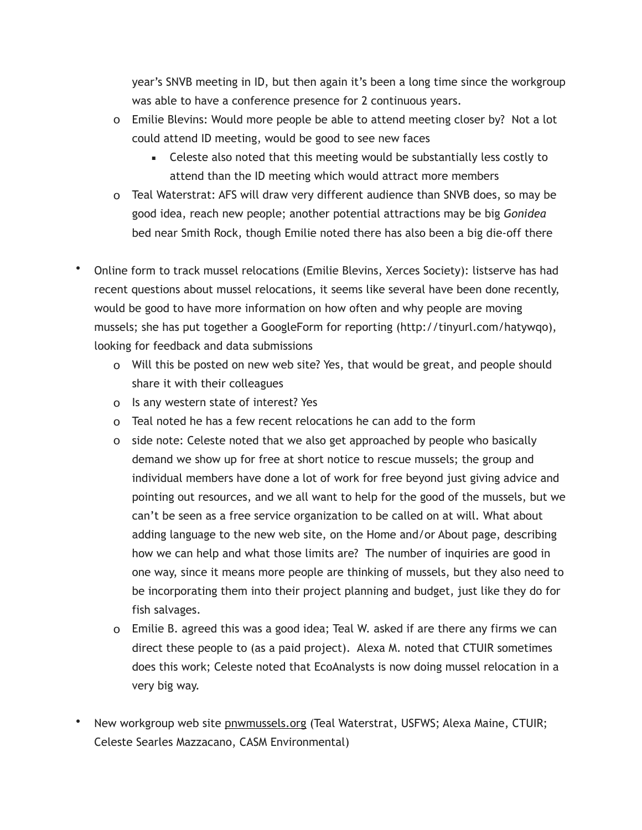year's SNVB meeting in ID, but then again it's been a long time since the workgroup was able to have a conference presence for 2 continuous years.

- o Emilie Blevins: Would more people be able to attend meeting closer by? Not a lot could attend ID meeting, would be good to see new faces
	- **•** Celeste also noted that this meeting would be substantially less costly to attend than the ID meeting which would attract more members
- o Teal Waterstrat: AFS will draw very different audience than SNVB does, so may be good idea, reach new people; another potential attractions may be big *Gonidea* bed near Smith Rock, though Emilie noted there has also been a big die-off there
- Online form to track mussel relocations (Emilie Blevins, Xerces Society): listserve has had recent questions about mussel relocations, it seems like several have been done recently, would be good to have more information on how often and why people are moving mussels; she has put together a GoogleForm for reporting (http://tinyurl.com/hatywqo), looking for feedback and data submissions
	- o Will this be posted on new web site? Yes, that would be great, and people should share it with their colleagues
	- o Is any western state of interest? Yes
	- o Teal noted he has a few recent relocations he can add to the form
	- o side note: Celeste noted that we also get approached by people who basically demand we show up for free at short notice to rescue mussels; the group and individual members have done a lot of work for free beyond just giving advice and pointing out resources, and we all want to help for the good of the mussels, but we can't be seen as a free service organization to be called on at will. What about adding language to the new web site, on the Home and/or About page, describing how we can help and what those limits are? The number of inquiries are good in one way, since it means more people are thinking of mussels, but they also need to be incorporating them into their project planning and budget, just like they do for fish salvages.
	- o Emilie B. agreed this was a good idea; Teal W. asked if are there any firms we can direct these people to (as a paid project). Alexa M. noted that CTUIR sometimes does this work; Celeste noted that EcoAnalysts is now doing mussel relocation in a very big way.
- New workgroup web site [pnwmussels.org](http://pnwmussels.org) (Teal Waterstrat, USFWS; Alexa Maine, CTUIR; Celeste Searles Mazzacano, CASM Environmental)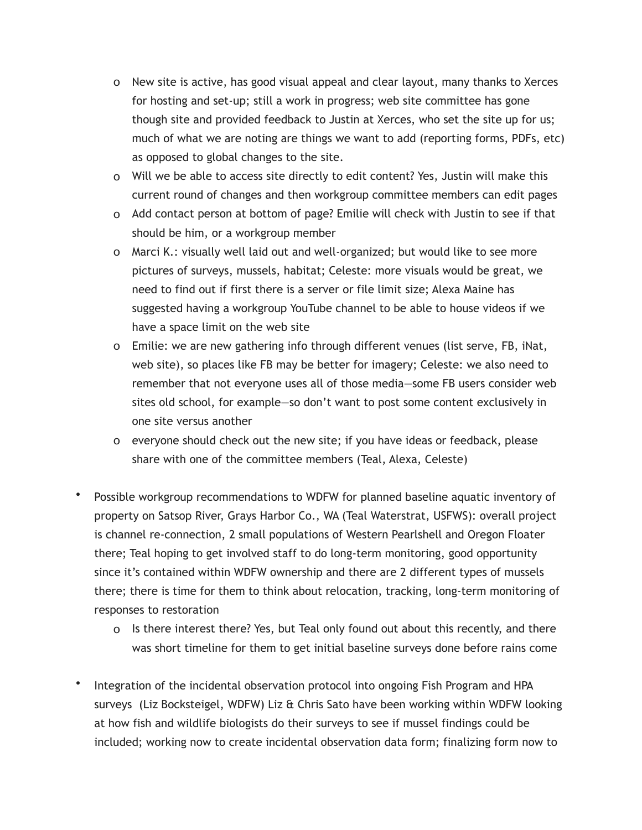- o New site is active, has good visual appeal and clear layout, many thanks to Xerces for hosting and set-up; still a work in progress; web site committee has gone though site and provided feedback to Justin at Xerces, who set the site up for us; much of what we are noting are things we want to add (reporting forms, PDFs, etc) as opposed to global changes to the site.
- o Will we be able to access site directly to edit content? Yes, Justin will make this current round of changes and then workgroup committee members can edit pages
- o Add contact person at bottom of page? Emilie will check with Justin to see if that should be him, or a workgroup member
- o Marci K.: visually well laid out and well-organized; but would like to see more pictures of surveys, mussels, habitat; Celeste: more visuals would be great, we need to find out if first there is a server or file limit size; Alexa Maine has suggested having a workgroup YouTube channel to be able to house videos if we have a space limit on the web site
- o Emilie: we are new gathering info through different venues (list serve, FB, iNat, web site), so places like FB may be better for imagery; Celeste: we also need to remember that not everyone uses all of those media—some FB users consider web sites old school, for example—so don't want to post some content exclusively in one site versus another
- o everyone should check out the new site; if you have ideas or feedback, please share with one of the committee members (Teal, Alexa, Celeste)
- Possible workgroup recommendations to WDFW for planned baseline aquatic inventory of property on Satsop River, Grays Harbor Co., WA (Teal Waterstrat, USFWS): overall project is channel re-connection, 2 small populations of Western Pearlshell and Oregon Floater there; Teal hoping to get involved staff to do long-term monitoring, good opportunity since it's contained within WDFW ownership and there are 2 different types of mussels there; there is time for them to think about relocation, tracking, long-term monitoring of responses to restoration
	- o Is there interest there? Yes, but Teal only found out about this recently, and there was short timeline for them to get initial baseline surveys done before rains come
- Integration of the incidental observation protocol into ongoing Fish Program and HPA surveys (Liz Bocksteigel, WDFW) Liz & Chris Sato have been working within WDFW looking at how fish and wildlife biologists do their surveys to see if mussel findings could be included; working now to create incidental observation data form; finalizing form now to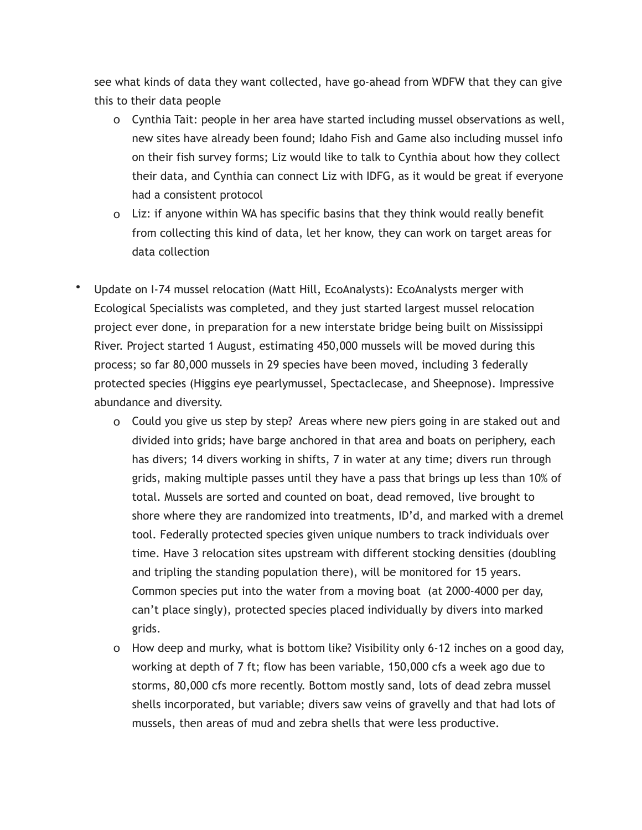see what kinds of data they want collected, have go-ahead from WDFW that they can give this to their data people

- o Cynthia Tait: people in her area have started including mussel observations as well, new sites have already been found; Idaho Fish and Game also including mussel info on their fish survey forms; Liz would like to talk to Cynthia about how they collect their data, and Cynthia can connect Liz with IDFG, as it would be great if everyone had a consistent protocol
- o Liz: if anyone within WA has specific basins that they think would really benefit from collecting this kind of data, let her know, they can work on target areas for data collection
- Update on I-74 mussel relocation (Matt Hill, EcoAnalysts): EcoAnalysts merger with Ecological Specialists was completed, and they just started largest mussel relocation project ever done, in preparation for a new interstate bridge being built on Mississippi River. Project started 1 August, estimating 450,000 mussels will be moved during this process; so far 80,000 mussels in 29 species have been moved, including 3 federally protected species (Higgins eye pearlymussel, Spectaclecase, and Sheepnose). Impressive abundance and diversity.
	- o Could you give us step by step? Areas where new piers going in are staked out and divided into grids; have barge anchored in that area and boats on periphery, each has divers; 14 divers working in shifts, 7 in water at any time; divers run through grids, making multiple passes until they have a pass that brings up less than 10% of total. Mussels are sorted and counted on boat, dead removed, live brought to shore where they are randomized into treatments, ID'd, and marked with a dremel tool. Federally protected species given unique numbers to track individuals over time. Have 3 relocation sites upstream with different stocking densities (doubling and tripling the standing population there), will be monitored for 15 years. Common species put into the water from a moving boat (at 2000-4000 per day, can't place singly), protected species placed individually by divers into marked grids.
	- o How deep and murky, what is bottom like? Visibility only 6-12 inches on a good day, working at depth of 7 ft; flow has been variable, 150,000 cfs a week ago due to storms, 80,000 cfs more recently. Bottom mostly sand, lots of dead zebra mussel shells incorporated, but variable; divers saw veins of gravelly and that had lots of mussels, then areas of mud and zebra shells that were less productive.